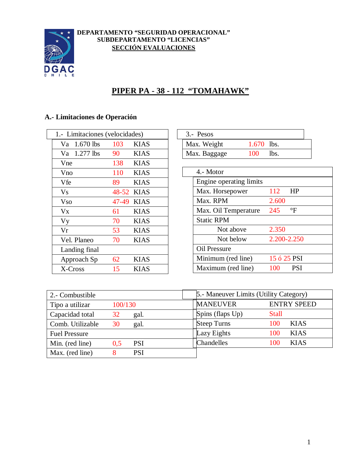

#### **DEPARTAMENTO "SEGURIDAD OPERACIONAL" SUBDEPARTAMENTO "LICENCIAS" SECCIÓN EVALUACIONES**

# **PIPER PA - 38 - 112 "TOMAHAWK"**

## **A.- Limitaciones de Operación**

|            | 1.- Limitaciones (velocidades) |            |             |
|------------|--------------------------------|------------|-------------|
|            | Va 1.670 lbs                   | 103        | <b>KIAS</b> |
|            | Va 1.277 lbs                   | 90         | <b>KIAS</b> |
| Vne        |                                | 138        | <b>KIAS</b> |
| Vno        |                                | 110        | <b>KIAS</b> |
| Vfe        |                                | 89         | <b>KIAS</b> |
| <b>V</b> s |                                | 48-52 KIAS |             |
| <b>Vso</b> |                                | 47-49 KIAS |             |
| Vx         |                                | 61         | <b>KIAS</b> |
| Vy         |                                | 70         | <b>KIAS</b> |
| Vr         |                                | 53         | <b>KIAS</b> |
|            | Vel. Planeo                    | 70         | <b>KIAS</b> |
|            | Landing final                  |            |             |
|            | Approach Sp                    | 62         | <b>KIAS</b> |
|            | X-Cross                        | 15         | KIAS        |

| 3.- Pesos    |             |  |
|--------------|-------------|--|
| Max. Weight  | 1.670 lbs.  |  |
| Max. Baggage | 100<br>lbs. |  |

| Engine operating limits |       |                      |                            |
|-------------------------|-------|----------------------|----------------------------|
| Max. Horsepower         | 112   | HP                   |                            |
|                         | 2.600 |                      |                            |
| Max. Oil Temperature    | 245   | $\mathrm{^{\circ}F}$ |                            |
| <b>Static RPM</b>       |       |                      |                            |
| Not above               | 2.350 |                      |                            |
| Not below               |       |                      |                            |
| Oil Pressure            |       |                      |                            |
| Minimum (red line)      |       |                      |                            |
| Maximum (red line)      | 100   | <b>PSI</b>           |                            |
|                         |       |                      | 2.200-2.250<br>15 ó 25 PSI |

| 2.- Combustible      |                   | 5.- Maneuver Limits (Utility Category) |                    |
|----------------------|-------------------|----------------------------------------|--------------------|
| Tipo a utilizar      | 100/130           | <b>MANEUVER</b>                        | <b>ENTRY SPEED</b> |
| Capacidad total      | 32<br>gal.        | Spins (flaps Up)                       | <b>Stall</b>       |
| Comb. Utilizable     | 30<br>gal.        | <b>Steep Turns</b>                     | <b>KIAS</b><br>100 |
| <b>Fuel Pressure</b> |                   | Lazy Eights                            | <b>KIAS</b><br>100 |
| Min. (red line)      | <b>PSI</b><br>0.5 | Chandelles                             | <b>KIAS</b><br>100 |
| Max. (red line)      | <b>PSI</b>        |                                        |                    |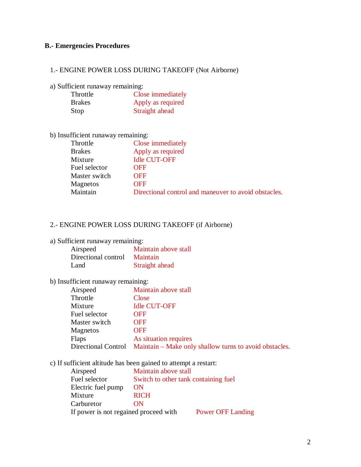#### **B.- Emergencies Procedures**

## 1.- ENGINE POWER LOSS DURING TAKEOFF (Not Airborne)

a) Sufficient runaway remaining:

| Throttle      | Close immediately |
|---------------|-------------------|
| <b>Brakes</b> | Apply as required |
| Stop          | Straight ahead    |

| b) Insufficient runaway remaining: |                                                      |
|------------------------------------|------------------------------------------------------|
| Throttle                           | Close immediately                                    |
| <b>Brakes</b>                      | Apply as required                                    |
| Mixture                            | <b>Idle CUT-OFF</b>                                  |
| Fuel selector                      | <b>OFF</b>                                           |
| Master switch                      | <b>OFF</b>                                           |
| Magnetos                           | <b>OFF</b>                                           |
| Maintain                           | Directional control and maneuver to avoid obstacles. |
|                                    |                                                      |

## 2.- ENGINE POWER LOSS DURING TAKEOFF (if Airborne)

|  | a) Sufficient runaway remaining: |
|--|----------------------------------|
|  |                                  |
|  |                                  |

| Airspeed            | Maintain above stall |
|---------------------|----------------------|
| Directional control | <b>Maintain</b>      |
| Land                | Straight ahead       |

### b) Insufficient runaway remaining:

| Airspeed      | Maintain above stall                                                       |
|---------------|----------------------------------------------------------------------------|
| Throttle      | Close                                                                      |
| Mixture       | <b>Idle CUT-OFF</b>                                                        |
| Fuel selector | <b>OFF</b>                                                                 |
| Master switch | <b>OFF</b>                                                                 |
| Magnetos      | <b>OFF</b>                                                                 |
| <b>Flaps</b>  | As situation requires                                                      |
|               | Directional Control Maintain – Make only shallow turns to avoid obstacles. |
|               |                                                                            |

### c) If sufficient altitude has been gained to attempt a restart:

| Airspeed                              | Maintain above stall                 |                          |
|---------------------------------------|--------------------------------------|--------------------------|
| Fuel selector                         | Switch to other tank containing fuel |                          |
| Electric fuel pump                    | <b>ON</b>                            |                          |
| Mixture                               | <b>RICH</b>                          |                          |
| Carburetor                            | ON                                   |                          |
| If power is not regained proceed with |                                      | <b>Power OFF Landing</b> |